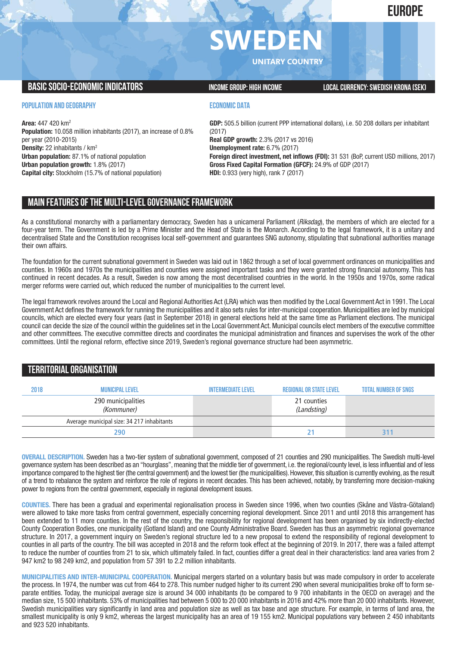# **EUROPE**

# **SWEDE**

**UNITARY COUNTRY**

## **BASICSOCIO-ECONOMICINDICATORS INCOMEGROUP: HIGH INCOME LOCALCURRENCY:SWEDISH KRONA (SEK)**

#### **POPULATION AND GEOGRAPHY**

**Area:** 447 420 km2 **Population:** 10.058 million inhabitants (2017), an increase of 0.8% per year (2010-2015) **Density:** 22 inhabitants / km2 **Urban population:** 87.1% of national population **Urban population growth:** 1.8% (2017) **Capital city:** Stockholm (15.7% of national population)

#### **ECONOMIC DATA**

**GDP:** 505.5 billion (current PPP international dollars), i.e. 50 208 dollars per inhabitant (2017) **Real GDP growth:** 2.3% (2017 vs 2016) **Unemployment rate:** 6.7% (2017) **Foreign direct investment, net inflows (FDI):** 31 531 (BoP, current USD millions, 2017) **Gross Fixed Capital Formation (GFCF):** 24.9% of GDP (2017) **HDI:** 0.933 (very high), rank 7 (2017)

# **MAIN FEATURESOFTHE MULTI-LEVELGOVERNANCEFRAMEWORK**

As a constitutional monarchy with a parliamentary democracy, Sweden has a unicameral Parliament (*Riksdag*), the members of which are elected for a four-year term. The Government is led by a Prime Minister and the Head of State is the Monarch. According to the legal framework, it is a unitary and decentralised State and the Constitution recognises local self-government and guarantees SNG autonomy, stipulating that subnational authorities manage their own affairs.

The foundation for the current subnational government in Sweden was laid out in 1862 through a set of local government ordinances on municipalities and counties. In 1960s and 1970s the municipalities and counties were assigned important tasks and they were granted strong financial autonomy. This has continued in recent decades. As a result, Sweden is now among the most decentralised countries in the world. In the 1950s and 1970s, some radical merger reforms were carried out, which reduced the number of municipalities to the current level.

The legal framework revolves around the Local and Regional Authorities Act (LRA) which was then modified by the Local Government Act in 1991. The Local Government Act defines the framework for running the municipalities and it also sets rules for inter-municipal cooperation. Municipalities are led by municipal councils, which are elected every four years (last in September 2018) in general elections held at the same time as Parliament elections. The municipal council can decide the size of the council within the guidelines set in the Local Government Act. Municipal councils elect members of the executive committee and other committees. The executive committee directs and coordinates the municipal administration and finances and supervises the work of the other committees. Until the regional reform, effective since 2019, Sweden's regional governance structure had been asymmetric.

# **TERRITORIALORGANISATION**

| 2018 | <b>MUNICIPAL LEVEL</b>                     | <b>INTERMEDIATE LEVEL</b> | <b>REGIONAL OR STATE LEVEL</b> | <b>TOTAL NUMBER OF SNGS</b> |
|------|--------------------------------------------|---------------------------|--------------------------------|-----------------------------|
|      | 290 municipalities<br>(Kommuner)           |                           | 21 counties<br>(Landsting)     |                             |
|      | Average municipal size: 34 217 inhabitants |                           |                                |                             |
|      | 290                                        |                           |                                |                             |

**OVERALL DESCRIPTION.** Sweden has a two-tier system of subnational government, composed of 21 counties and 290 municipalities. The Swedish multi-level governance system has been described as an "hourglass", meaning that the middle tier of government, i.e. the regional/county level, is less influential and of less importance compared to the highest tier (the central government) and the lowest tier (the municipalities). However, this situation is currently evolving, as the result of a trend to rebalance the system and reinforce the role of regions in recent decades. This has been achieved, notably, by transferring more decision-making power to regions from the central government, especially in regional development issues.

**COUNTIES.** There has been a gradual and experimental regionalisation process in Sweden since 1996, when two counties (Skåne and Västra-Götaland) were allowed to take more tasks from central government, especially concerning regional development. Since 2011 and until 2018 this arrangement has been extended to 11 more counties. In the rest of the country, the responsibility for regional development has been organised by six indirectly-elected County Cooperation Bodies, one municipality (Gotland Island) and one County Administrative Board. Sweden has thus an asymmetric regional governance structure. In 2017, a government inquiry on Sweden's regional structure led to a new proposal to extend the responsibility of regional development to counties in all parts of the country. The bill was accepted in 2018 and the reform took effect at the beginning of 2019. In 2017, there was a failed attempt to reduce the number of counties from 21 to six, which ultimately failed. In fact, counties differ a great deal in their characteristics: land area varies from 2 947 km2 to 98 249 km2, and population from 57 391 to 2.2 million inhabitants.

**MUNICIPALITIES AND INTER-MUNICIPAL COOPERATION.** Municipal mergers started on a voluntary basis but was made compulsory in order to accelerate the process. In 1974, the number was cut from 464 to 278. This number nudged higher to its current 290 when several municipalities broke off to form separate entities. Today, the municipal average size is around 34 000 inhabitants (to be compared to 9 700 inhabitants in the OECD on average) and the median size, 15 500 inhabitants. 53% of municipalities had between 5 000 to 20 000 inhabitants in 2016 and 42% more than 20 000 inhabitants. However, Swedish municipalities vary significantly in land area and population size as well as tax base and age structure. For example, in terms of land area, the smallest municipality is only 9 km2, whereas the largest municipality has an area of 19 155 km2. Municipal populations vary between 2 450 inhabitants and 923 520 inhabitants.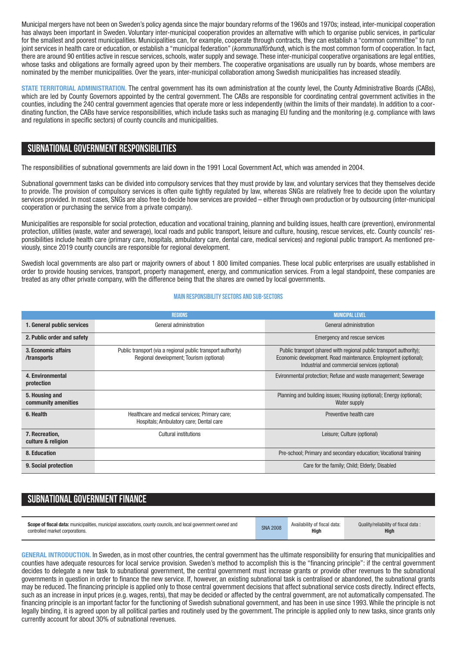Municipal mergers have not been on Sweden's policy agenda since the major boundary reforms of the 1960s and 1970s; instead, inter-municipal cooperation has always been important in Sweden. Voluntary inter-municipal cooperation provides an alternative with which to organise public services, in particular for the smallest and poorest municipalities. Municipalities can, for example, cooperate through contracts, they can establish a "common committee" to run joint services in health care or education, or establish a "municipal federation" (*kommunalförbund*), which is the most common form of cooperation. In fact, there are around 90 entities active in rescue services, schools, water supply and sewage. These inter-municipal cooperative organisations are legal entities, whose tasks and obligations are formally agreed upon by their members. The cooperative organisations are usually run by boards, whose members are nominated by the member municipalities. Over the years, inter-municipal collaboration among Swedish municipalities has increased steadily.

**STATE TERRITORIAL ADMINISTRATION.** The central government has its own administration at the county level, the County Administrative Boards (CABs), which are led by County Governors appointed by the central government. The CABs are responsible for coordinating central government activities in the counties, including the 240 central government agencies that operate more or less independently (within the limits of their mandate). In addition to a coordinating function, the CABs have service responsibilities, which include tasks such as managing EU funding and the monitoring (e.g. compliance with laws and regulations in specific sectors) of county councils and municipalities.

## **SUBNATIONALGOVERNMENT RESPONSIBILITIES**

The responsibilities of subnational governments are laid down in the 1991 Local Government Act, which was amended in 2004.

Subnational government tasks can be divided into compulsory services that they must provide by law, and voluntary services that they themselves decide to provide. The provision of compulsory services is often quite tightly regulated by law, whereas SNGs are relatively free to decide upon the voluntary services provided. In most cases, SNGs are also free to decide how services are provided – either through own production or by outsourcing (inter-municipal cooperation or purchasing the service from a private company).

Municipalities are responsible for social protection, education and vocational training, planning and building issues, health care (prevention), environmental protection, utilities (waste, water and sewerage), local roads and public transport, leisure and culture, housing, rescue services, etc. County councils' responsibilities include health care (primary care, hospitals, ambulatory care, dental care, medical services) and regional public transport. As mentioned previously, since 2019 county councils are responsible for regional development.

Swedish local governments are also part or majority owners of about 1 800 limited companies. These local public enterprises are usually established in order to provide housing services, transport, property management, energy, and communication services. From a legal standpoint, these companies are treated as any other private company, with the difference being that the shares are owned by local governments.

#### **Main responsibilitysectors and sub-sectors**

|                                       | <b>REGIONS</b>                                                                                           | <b>MUNICIPAL LEVEL</b>                                                                                                                                                                 |
|---------------------------------------|----------------------------------------------------------------------------------------------------------|----------------------------------------------------------------------------------------------------------------------------------------------------------------------------------------|
| 1. General public services            | General administration                                                                                   | General administration                                                                                                                                                                 |
| 2. Public order and safety            |                                                                                                          | Emergency and rescue services                                                                                                                                                          |
| 3. Economic affairs<br>/transports    | Public transport (via a regional public transport authority)<br>Regional development; Tourism (optional) | Public transport (shared with regional public transport authority);<br>Economic development. Road maintenance. Employment (optional);<br>Industrial and commercial services (optional) |
| 4. Environmental<br>protection        |                                                                                                          | Evironmental protection; Refuse and waste management; Sewerage                                                                                                                         |
| 5. Housing and<br>community amenities |                                                                                                          | Planning and building issues; Housing (optional); Energy (optional);<br>Water supply                                                                                                   |
| 6. Health                             | Healthcare and medical services; Primary care;<br>Hospitals; Ambulatory care; Dental care                | Preventive health care                                                                                                                                                                 |
| 7. Recreation,<br>culture & religion  | Cultural institutions                                                                                    | Leisure; Culture (optional)                                                                                                                                                            |
| 8. Education                          |                                                                                                          | Pre-school; Primary and secondary education; Vocational training                                                                                                                       |
| 9. Social protection                  |                                                                                                          | Care for the family; Child; Elderly; Disabled                                                                                                                                          |

# **SUBNATIONAL GOVERNMENT FINANCE**

| <b>Scope of fiscal data:</b> municipalities, municipal associations, county councils, and local government owned and | <b>SNA 2008</b> | Availability of fiscal data: | Quality/reliability of fiscal data: |
|----------------------------------------------------------------------------------------------------------------------|-----------------|------------------------------|-------------------------------------|
| controlled market corporations.                                                                                      |                 | <b>High</b>                  | High                                |

**GENERAL INTRODUCTION.** In Sweden, as in most other countries, the central government has the ultimate responsibility for ensuring that municipalities and counties have adequate resources for local service provision. Sweden's method to accomplish this is the "financing principle": if the central government decides to delegate a new task to subnational government, the central government must increase grants or provide other revenues to the subnational governments in question in order to finance the new service. If, however, an existing subnational task is centralised or abandoned, the subnational grants may be reduced. The financing principle is applied only to those central government decisions that affect subnational service costs directly. Indirect effects, such as an increase in input prices (e.g. wages, rents), that may be decided or affected by the central government, are not automatically compensated. The financing principle is an important factor for the functioning of Swedish subnational government, and has been in use since 1993. While the principle is not legally binding, it is agreed upon by all political parties and routinely used by the government. The principle is applied only to new tasks, since grants only currently account for about 30% of subnational revenues.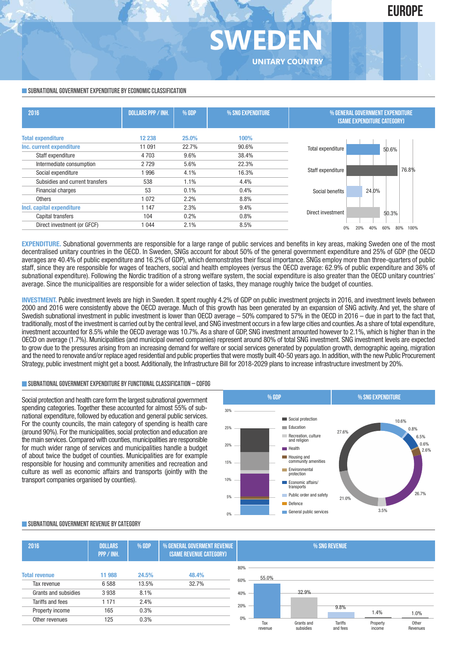# **SWEDE UNITARY COUNTRY**

#### **SUBNATIONAL GOVERNMENT EXPENDITURE BY ECONOMIC CLASSIFICATION**

| 2016                            | <b>DOLLARS PPP / INH.</b> | % GDP | % SNG EXPENDITURE | % GENERAL GOVERNMENT EXPENDITURE<br><b>(SAME EXPENDITURE CATEGORY)</b> |                                  |  |
|---------------------------------|---------------------------|-------|-------------------|------------------------------------------------------------------------|----------------------------------|--|
| <b>Total expenditure</b>        | 12 2 38                   | 25.0% | 100%              |                                                                        |                                  |  |
| Inc. current expenditure        | 11 091                    | 22.7% | 90.6%             | Total expenditure                                                      | 50.6%                            |  |
| Staff expenditure               | 4 7 0 3                   | 9.6%  | 38.4%             |                                                                        |                                  |  |
| Intermediate consumption        | 2729                      | 5.6%  | 22.3%             |                                                                        |                                  |  |
| Social expenditure              | 1996                      | 4.1%  | 16.3%             | Staff expenditure                                                      | 76.8%                            |  |
| Subsidies and current transfers | 538                       | 1.1%  | 4.4%              |                                                                        |                                  |  |
| <b>Financial charges</b>        | 53                        | 0.1%  | 0.4%              | Social benefits                                                        | 24.0%                            |  |
| <b>Others</b>                   | 1 0 7 2                   | 2.2%  | 8.8%              |                                                                        |                                  |  |
| Incl. capital expenditure       | 1 1 4 7                   | 2.3%  | 9.4%              |                                                                        |                                  |  |
| Capital transfers               | 104                       | 0.2%  | 0.8%              | Direct investment                                                      | 50.3%                            |  |
| Direct investment (or GFCF)     | 1 0 4 4                   | 2.1%  | 8.5%              | $0\%$                                                                  | 80%<br>60%<br>100%<br>20%<br>40% |  |
|                                 |                           |       |                   |                                                                        |                                  |  |

**EXPENDITURE.** Subnational governments are responsible for a large range of public services and benefits in key areas, making Sweden one of the most decentralised unitary countries in the OECD. In Sweden, SNGs account for about 50% of the general government expenditure and 25% of GDP (the OECD averages are 40.4% of public expenditure and 16.2% of GDP), which demonstrates their fiscal importance. SNGs employ more than three-quarters of public staff, since they are responsible for wages of teachers, social and health employees (versus the OECD average: 62.9% of public expenditure and 36% of subnational expenditure). Following the Nordic tradition of a strong welfare system, the social expenditure is also greater than the OECD unitary countries' average. Since the municipalities are responsible for a wider selection of tasks, they manage roughly twice the budget of counties.

**INVESTMENT.** Public investment levels are high in Sweden. It spent roughly 4.2% of GDP on public investment projects in 2016, and investment levels between 2000 and 2016 were consistently above the OECD average. Much of this growth has been generated by an expansion of SNG activity. And yet, the share of Swedish subnational investment in public investment is lower than OECD average – 50% compared to 57% in the OECD in 2016 – due in part to the fact that, traditionally,most of the investment is carried out by the central level, and SNG investment occurs in a few large cities and counties.As a share of total expenditure, investment accounted for 8.5% while the OECD average was 10.7%. As a share of GDP, SNG investment amounted however to 2.1%, which is higher than in the OECD on average (1.7%). Municipalities (and municipal owned companies) represent around 80% of total SNG investment. SNG investment levels are expected to grow due to the pressures arising from an increasing demand for welfare or social services generated by population growth, demographic ageing, migration and the need to renovate and/or replace aged residential and public properties that were mostly built 40-50 years ago. In addition, with the new Public Procurement Strategy, public investment might get a boost. Additionally, the Infrastructure Bill for 2018-2029 plans to increase infrastructure investment by 20%.

#### **SUBNATIONALGOVERNMENTEXPENDITURE BYFUNCTIONALCLASSIFICATION – COFOG**

Social protection and health care form the largest subnational government spending categories. Together these accounted for almost 55% of subnational expenditure, followed by education and general public services. For the county councils, the main category of spending is health care (around 90%). For the municipalities, social protection and education are the main services. Compared with counties, municipalities are responsible for much wider range of services and municipalities handle a budget of about twice the budget of counties. Municipalities are for example responsible for housing and community amenities and recreation and culture as well as economic affairs and transports (jointly with the transport companies organised by counties).



#### **SUBNATIONALGOVERNMENT REVENUE BYCATEGORY**

| 2016                 | <b>DOLLARS</b><br>PPP / INH. | % GDP | % GENERAL GOVERMENT REVENUE<br>(SAME REVENUE CATEGORY) |       | % SNG REVENUE |  |            |          |          |          |
|----------------------|------------------------------|-------|--------------------------------------------------------|-------|---------------|--|------------|----------|----------|----------|
|                      |                              |       |                                                        | 80%   |               |  |            |          |          |          |
| <b>Total revenue</b> | 11 988                       | 24.5% | 48.4%                                                  |       | 55.0%         |  |            |          |          |          |
| Tax revenue          | 6588                         | 13.5% | 32.7%                                                  | 60%   |               |  |            |          |          |          |
| Grants and subsidies | 3938                         | 8.1%  |                                                        | 40%   |               |  | 32.9%      |          |          |          |
| Tariffs and fees     | 1 171                        | 2.4%  |                                                        |       |               |  |            |          |          |          |
| Property income      | 165                          | 0.3%  |                                                        | 20%   |               |  |            | 9.8%     | 1.4%     | 1.0%     |
| Other revenues       | 125                          | 0.3%  |                                                        | $0\%$ | Tax           |  | Grants and | Tariffs  | Property | Other    |
|                      |                              |       |                                                        |       | revenue       |  | subsidies  | and fees | income   | Revenues |